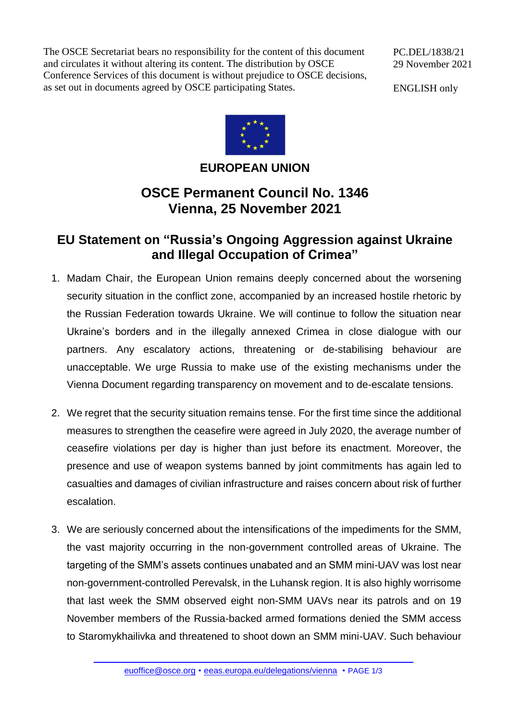The OSCE Secretariat bears no responsibility for the content of this document and circulates it without altering its content. The distribution by OSCE Conference Services of this document is without prejudice to OSCE decisions, as set out in documents agreed by OSCE participating States.

ENGLISH only



## **EUROPEAN UNION**

## **OSCE Permanent Council No. 1346 Vienna, 25 November 2021**

## **EU Statement on "Russia's Ongoing Aggression against Ukraine and Illegal Occupation of Crimea"**

- 1. Madam Chair, the European Union remains deeply concerned about the worsening security situation in the conflict zone, accompanied by an increased hostile rhetoric by the Russian Federation towards Ukraine. We will continue to follow the situation near Ukraine's borders and in the illegally annexed Crimea in close dialogue with our partners. Any escalatory actions, threatening or de-stabilising behaviour are unacceptable. We urge Russia to make use of the existing mechanisms under the Vienna Document regarding transparency on movement and to de-escalate tensions.
- 2. We regret that the security situation remains tense. For the first time since the additional measures to strengthen the ceasefire were agreed in July 2020, the average number of ceasefire violations per day is higher than just before its enactment. Moreover, the presence and use of weapon systems banned by joint commitments has again led to casualties and damages of civilian infrastructure and raises concern about risk of further escalation.
- 3. We are seriously concerned about the intensifications of the impediments for the SMM, the vast majority occurring in the non-government controlled areas of Ukraine. The targeting of the SMM's assets continues unabated and an SMM mini-UAV was lost near non-government-controlled Perevalsk, in the Luhansk region. It is also highly worrisome that last week the SMM observed eight non-SMM UAVs near its patrols and on 19 November members of the Russia-backed armed formations denied the SMM access to Staromykhailivka and threatened to shoot down an SMM mini-UAV. Such behaviour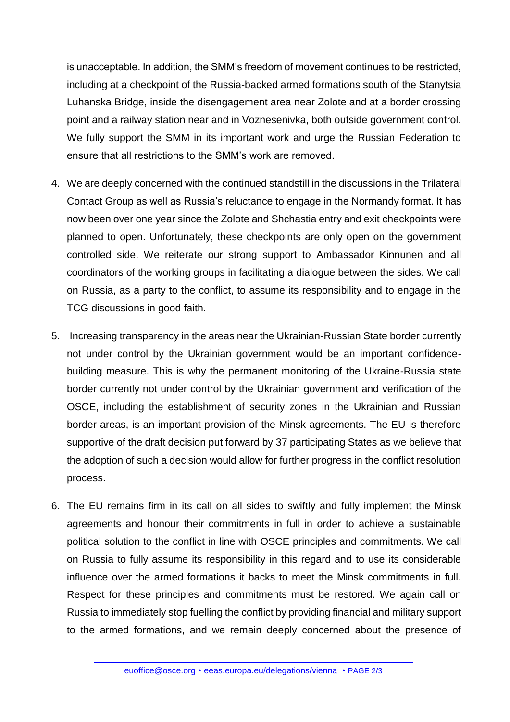is unacceptable. In addition, the SMM's freedom of movement continues to be restricted, including at a checkpoint of the Russia-backed armed formations south of the Stanytsia Luhanska Bridge, inside the disengagement area near Zolote and at a border crossing point and a railway station near and in Voznesenivka, both outside government control. We fully support the SMM in its important work and urge the Russian Federation to ensure that all restrictions to the SMM's work are removed.

- 4. We are deeply concerned with the continued standstill in the discussions in the Trilateral Contact Group as well as Russia's reluctance to engage in the Normandy format. It has now been over one year since the Zolote and Shchastia entry and exit checkpoints were planned to open. Unfortunately, these checkpoints are only open on the government controlled side. We reiterate our strong support to Ambassador Kinnunen and all coordinators of the working groups in facilitating a dialogue between the sides. We call on Russia, as a party to the conflict, to assume its responsibility and to engage in the TCG discussions in good faith.
- 5. Increasing transparency in the areas near the Ukrainian-Russian State border currently not under control by the Ukrainian government would be an important confidencebuilding measure. This is why the permanent monitoring of the Ukraine-Russia state border currently not under control by the Ukrainian government and verification of the OSCE, including the establishment of security zones in the Ukrainian and Russian border areas, is an important provision of the Minsk agreements. The EU is therefore supportive of the draft decision put forward by 37 participating States as we believe that the adoption of such a decision would allow for further progress in the conflict resolution process.
- 6. The EU remains firm in its call on all sides to swiftly and fully implement the Minsk agreements and honour their commitments in full in order to achieve a sustainable political solution to the conflict in line with OSCE principles and commitments. We call on Russia to fully assume its responsibility in this regard and to use its considerable influence over the armed formations it backs to meet the Minsk commitments in full. Respect for these principles and commitments must be restored. We again call on Russia to immediately stop fuelling the conflict by providing financial and military support to the armed formations, and we remain deeply concerned about the presence of

[euoffice@osce.org](mailto:euoffice@osce.org) • [eeas.europa.eu/delegations/vienna](http://eeas.europa.eu/delegations/vienna) • PAGE 2/3